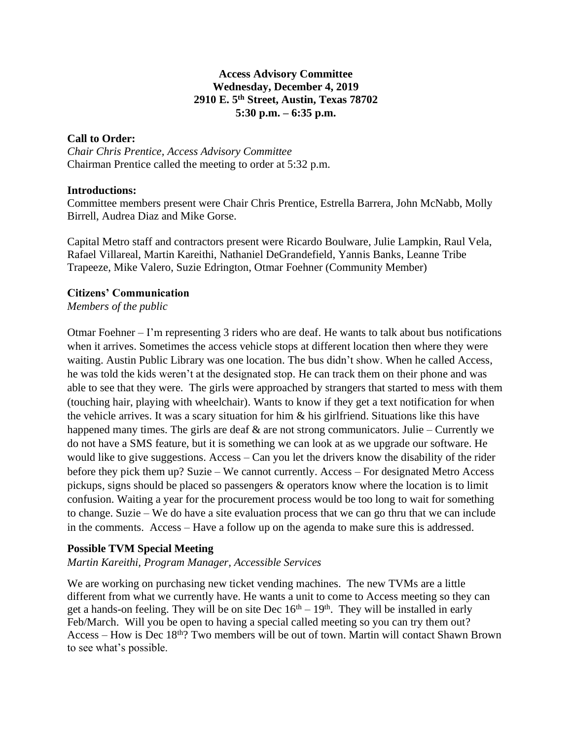# **Access Advisory Committee Wednesday, December 4, 2019 2910 E. 5th Street, Austin, Texas 78702 5:30 p.m. – 6:35 p.m.**

# **Call to Order:**

*Chair Chris Prentice, Access Advisory Committee* Chairman Prentice called the meeting to order at 5:32 p.m.

## **Introductions:**

Committee members present were Chair Chris Prentice, Estrella Barrera, John McNabb, Molly Birrell, Audrea Diaz and Mike Gorse.

Capital Metro staff and contractors present were Ricardo Boulware, Julie Lampkin, Raul Vela, Rafael Villareal, Martin Kareithi, Nathaniel DeGrandefield, Yannis Banks, Leanne Tribe Trapeeze, Mike Valero, Suzie Edrington, Otmar Foehner (Community Member)

# **Citizens' Communication**

*Members of the public*

Otmar Foehner – I'm representing 3 riders who are deaf. He wants to talk about bus notifications when it arrives. Sometimes the access vehicle stops at different location then where they were waiting. Austin Public Library was one location. The bus didn't show. When he called Access, he was told the kids weren't at the designated stop. He can track them on their phone and was able to see that they were. The girls were approached by strangers that started to mess with them (touching hair, playing with wheelchair). Wants to know if they get a text notification for when the vehicle arrives. It was a scary situation for him & his girlfriend. Situations like this have happened many times. The girls are deaf  $\&$  are not strong communicators. Julie – Currently we do not have a SMS feature, but it is something we can look at as we upgrade our software. He would like to give suggestions. Access – Can you let the drivers know the disability of the rider before they pick them up? Suzie – We cannot currently. Access – For designated Metro Access pickups, signs should be placed so passengers & operators know where the location is to limit confusion. Waiting a year for the procurement process would be too long to wait for something to change. Suzie – We do have a site evaluation process that we can go thru that we can include in the comments. Access – Have a follow up on the agenda to make sure this is addressed.

# **Possible TVM Special Meeting**

*Martin Kareithi, Program Manager, Accessible Services*

We are working on purchasing new ticket vending machines. The new TVMs are a little different from what we currently have. He wants a unit to come to Access meeting so they can get a hands-on feeling. They will be on site Dec  $16<sup>th</sup> - 19<sup>th</sup>$ . They will be installed in early Feb/March. Will you be open to having a special called meeting so you can try them out? Access – How is Dec 18th? Two members will be out of town. Martin will contact Shawn Brown to see what's possible.